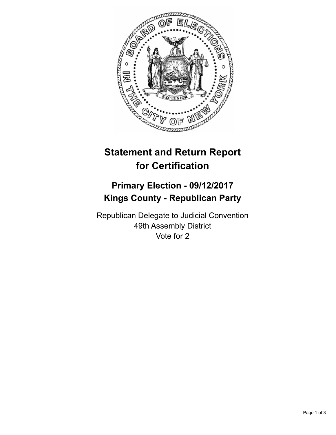

## **Statement and Return Report for Certification**

## **Primary Election - 09/12/2017 Kings County - Republican Party**

Republican Delegate to Judicial Convention 49th Assembly District Vote for 2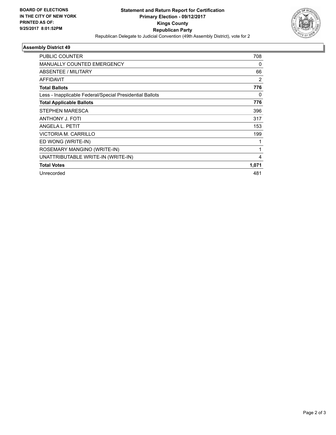

## **Assembly District 49**

| PUBLIC COUNTER                                           | 708   |
|----------------------------------------------------------|-------|
| <b>MANUALLY COUNTED EMERGENCY</b>                        | 0     |
| ABSENTEE / MILITARY                                      | 66    |
| AFFIDAVIT                                                | 2     |
| <b>Total Ballots</b>                                     | 776   |
| Less - Inapplicable Federal/Special Presidential Ballots | 0     |
| <b>Total Applicable Ballots</b>                          | 776   |
| STEPHEN MARESCA                                          | 396   |
| ANTHONY J. FOTI                                          | 317   |
| ANGELA L. PETIT                                          | 153   |
| VICTORIA M. CARRILLO                                     | 199   |
| ED WONG (WRITE-IN)                                       |       |
| ROSEMARY MANGINO (WRITE-IN)                              | 1     |
| UNATTRIBUTABLE WRITE-IN (WRITE-IN)                       | 4     |
| <b>Total Votes</b>                                       | 1,071 |
| Unrecorded                                               | 481   |